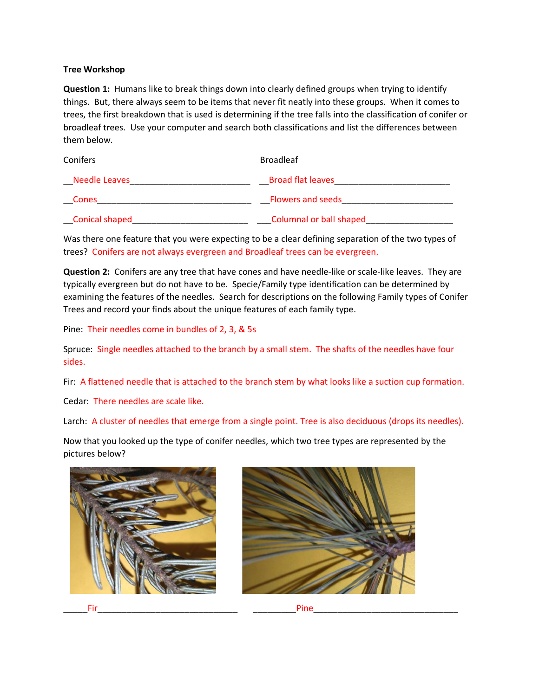## **Tree Workshop**

**Question 1:** Humans like to break things down into clearly defined groups when trying to identify things. But, there always seem to be items that never fit neatly into these groups. When it comes to trees, the first breakdown that is used is determining if the tree falls into the classification of conifer or broadleaf trees. Use your computer and search both classifications and list the differences between them below.

| Conifers              | <b>Broadleaf</b>               |
|-----------------------|--------------------------------|
| <b>Needle Leaves</b>  | <b>Broad flat leaves</b>       |
| <b>Cones</b>          | <b>Flowers and seeds</b>       |
| <b>Conical shaped</b> | <b>Columnal or ball shaped</b> |

Was there one feature that you were expecting to be a clear defining separation of the two types of trees? Conifers are not always evergreen and Broadleaf trees can be evergreen.

**Question 2:** Conifers are any tree that have cones and have needle-like or scale-like leaves. They are typically evergreen but do not have to be. Specie/Family type identification can be determined by examining the features of the needles. Search for descriptions on the following Family types of Conifer Trees and record your finds about the unique features of each family type.

Pine: Their needles come in bundles of 2, 3, & 5s

Spruce: Single needles attached to the branch by a small stem. The shafts of the needles have four sides.

Fir: A flattened needle that is attached to the branch stem by what looks like a suction cup formation.

Cedar: There needles are scale like.

Larch: A cluster of needles that emerge from a single point. Tree is also deciduous (drops its needles).

Now that you looked up the type of conifer needles, which two tree types are represented by the pictures below?





\_\_\_\_\_Fir\_\_\_\_\_\_\_\_\_\_\_\_\_\_\_\_\_\_\_\_\_\_\_\_\_\_\_\_\_ \_\_\_\_\_\_\_\_\_Pine\_\_\_\_\_\_\_\_\_\_\_\_\_\_\_\_\_\_\_\_\_\_\_\_\_\_\_\_\_\_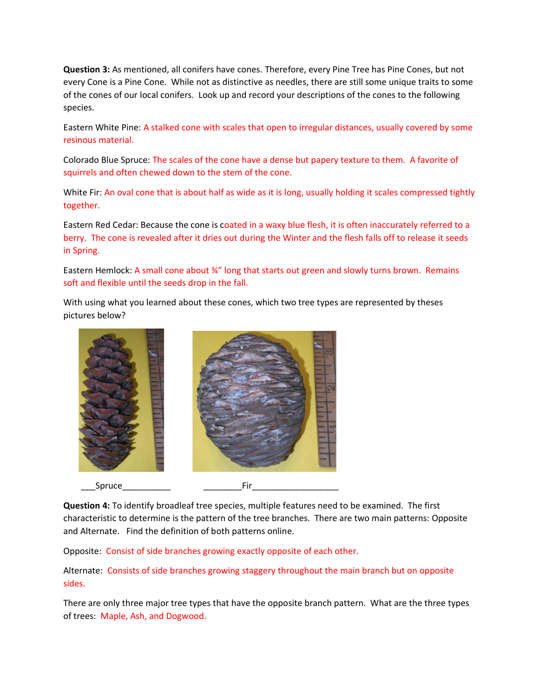**Question 3:** As mentioned, all conifers have cones. Therefore, every Pine Tree has Pine Cones, but not every Cone is a Pine Cone. While not as distinctive as needles, there are still some unique traits to some of the cones of our local conifers. Look up and record your descriptions of the cones to the following species.

Eastern White Pine: A stalked cone with scales that open to irregular distances, usually covered by some resinous material.

Colorado Blue Spruce: The scales of the cone have a dense but papery texture to them. A favorite of squirrels and often chewed down to the stem of the cone.

White Fir: An oval cone that is about half as wide as it is long, usually holding it scales compressed tightly together.

Eastern Red Cedar: Because the cone is coated in a waxy blue flesh, it is often inaccurately referred to a berry. The cone is revealed after it dries out during the Winter and the flesh falls off to release it seeds in Spring.

Eastern Hemlock: A small cone about %" long that starts out green and slowly turns brown. Remains soft and flexible until the seeds drop in the fall.

With using what you learned about these cones, which two tree types are represented by theses pictures below?



**Question 4:** To identify broadleaf tree species, multiple features need to be examined. The first characteristic to determine is the pattern of the tree branches. There are two main patterns: Opposite and Alternate. Find the definition of both patterns online.

Opposite: Consist of side branches growing exactly opposite of each other.

Alternate: Consists of side branches growing staggery throughout the main branch but on opposite sides.

There are only three major tree types that have the opposite branch pattern. What are the three types of trees: Maple, Ash, and Dogwood.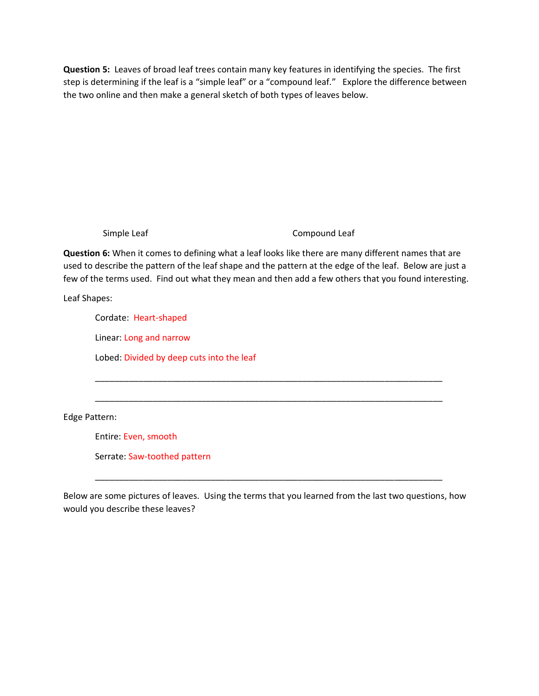**Question 5:** Leaves of broad leaf trees contain many key features in identifying the species. The first step is determining if the leaf is a "simple leaf" or a "compound leaf." Explore the difference between the two online and then make a general sketch of both types of leaves below.

Simple Leaf Compound Leaf

**Question 6:** When it comes to defining what a leaf looks like there are many different names that are used to describe the pattern of the leaf shape and the pattern at the edge of the leaf. Below are just a few of the terms used. Find out what they mean and then add a few others that you found interesting.

\_\_\_\_\_\_\_\_\_\_\_\_\_\_\_\_\_\_\_\_\_\_\_\_\_\_\_\_\_\_\_\_\_\_\_\_\_\_\_\_\_\_\_\_\_\_\_\_\_\_\_\_\_\_\_\_\_\_\_\_\_\_\_\_\_\_\_\_\_\_\_\_

\_\_\_\_\_\_\_\_\_\_\_\_\_\_\_\_\_\_\_\_\_\_\_\_\_\_\_\_\_\_\_\_\_\_\_\_\_\_\_\_\_\_\_\_\_\_\_\_\_\_\_\_\_\_\_\_\_\_\_\_\_\_\_\_\_\_\_\_\_\_\_\_

Leaf Shapes:

Cordate: Heart-shaped

Linear: Long and narrow

Lobed: Divided by deep cuts into the leaf

Edge Pattern:

Entire: Even, smooth

Serrate: Saw-toothed pattern

Below are some pictures of leaves. Using the terms that you learned from the last two questions, how would you describe these leaves?

\_\_\_\_\_\_\_\_\_\_\_\_\_\_\_\_\_\_\_\_\_\_\_\_\_\_\_\_\_\_\_\_\_\_\_\_\_\_\_\_\_\_\_\_\_\_\_\_\_\_\_\_\_\_\_\_\_\_\_\_\_\_\_\_\_\_\_\_\_\_\_\_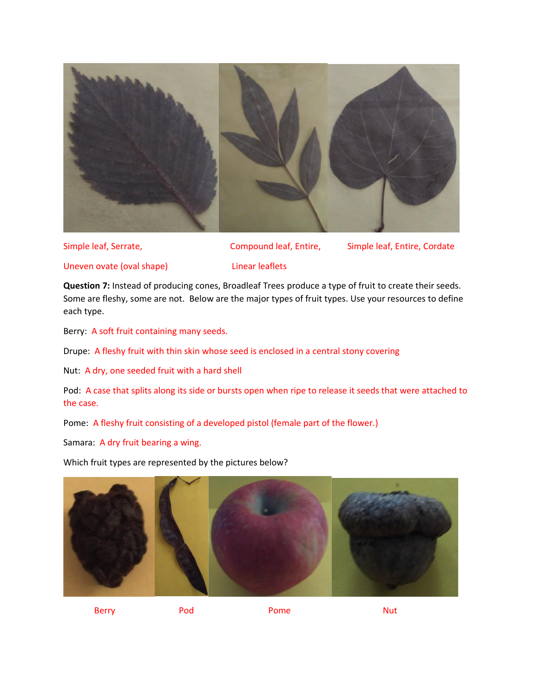

Simple leaf, Serrate, The School Compound leaf, Entire, The Simple leaf, Entire, Cordate

Uneven ovate (oval shape) Linear leaflets

**Question 7:** Instead of producing cones, Broadleaf Trees produce a type of fruit to create their seeds. Some are fleshy, some are not. Below are the major types of fruit types. Use your resources to define each type.

Berry: A soft fruit containing many seeds.

Drupe: A fleshy fruit with thin skin whose seed is enclosed in a central stony covering

Nut: A dry, one seeded fruit with a hard shell

Pod: A case that splits along its side or bursts open when ripe to release it seeds that were attached to the case.

Pome: A fleshy fruit consisting of a developed pistol (female part of the flower.)

Samara: A dry fruit bearing a wing.

Which fruit types are represented by the pictures below?



Berry **Pod** Pome Pome Nut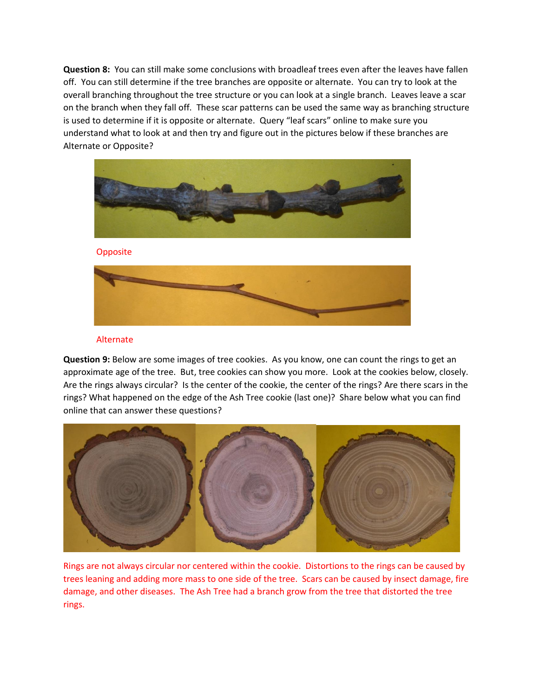**Question 8:** You can still make some conclusions with broadleaf trees even after the leaves have fallen off. You can still determine if the tree branches are opposite or alternate. You can try to look at the overall branching throughout the tree structure or you can look at a single branch. Leaves leave a scar on the branch when they fall off. These scar patterns can be used the same way as branching structure is used to determine if it is opposite or alternate. Query "leaf scars" online to make sure you understand what to look at and then try and figure out in the pictures below if these branches are Alternate or Opposite?



Opposite



## Alternate

**Question 9:** Below are some images of tree cookies. As you know, one can count the rings to get an approximate age of the tree. But, tree cookies can show you more. Look at the cookies below, closely. Are the rings always circular? Is the center of the cookie, the center of the rings? Are there scars in the rings? What happened on the edge of the Ash Tree cookie (last one)? Share below what you can find online that can answer these questions?



Rings are not always circular nor centered within the cookie. Distortions to the rings can be caused by trees leaning and adding more mass to one side of the tree. Scars can be caused by insect damage, fire damage, and other diseases. The Ash Tree had a branch grow from the tree that distorted the tree rings.